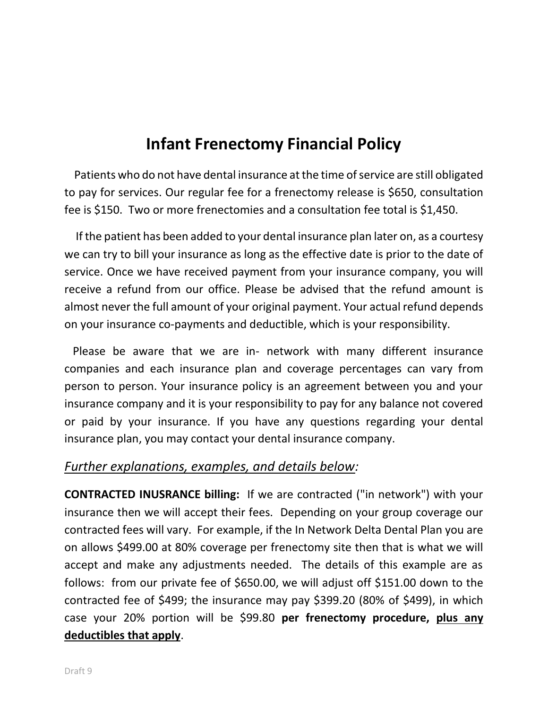## **Infant Frenectomy Financial Policy**

 Patients who do not have dental insurance at the time of service are still obligated to pay for services. Our regular fee for a frenectomy release is \$650, consultation fee is \$150. Two or more frenectomies and a consultation fee total is \$1,450.

 If the patient has been added to your dental insurance plan later on, as a courtesy we can try to bill your insurance as long as the effective date is prior to the date of service. Once we have received payment from your insurance company, you will receive a refund from our office. Please be advised that the refund amount is almost never the full amount of your original payment. Your actual refund depends on your insurance co-payments and deductible, which is your responsibility.

 Please be aware that we are in- network with many different insurance companies and each insurance plan and coverage percentages can vary from person to person. Your insurance policy is an agreement between you and your insurance company and it is your responsibility to pay for any balance not covered or paid by your insurance. If you have any questions regarding your dental insurance plan, you may contact your dental insurance company.

## *Further explanations, examples, and details below:*

**CONTRACTED INUSRANCE billing:** If we are contracted ("in network") with your insurance then we will accept their fees. Depending on your group coverage our contracted fees will vary. For example, if the In Network Delta Dental Plan you are on allows \$499.00 at 80% coverage per frenectomy site then that is what we will accept and make any adjustments needed. The details of this example are as follows: from our private fee of \$650.00, we will adjust off \$151.00 down to the contracted fee of \$499; the insurance may pay \$399.20 (80% of \$499), in which case your 20% portion will be \$99.80 **per frenectomy procedure, plus any deductibles that apply**.